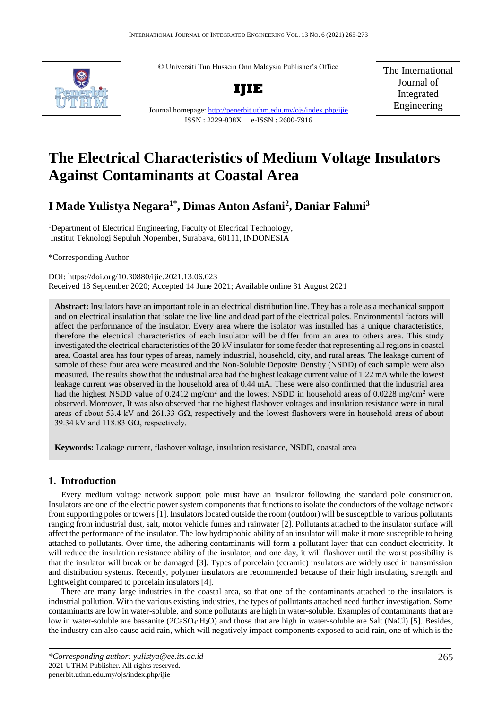© Universiti Tun Hussein Onn Malaysia Publisher's Office



**IJIE** Journal homepage:<http://penerbit.uthm.edu.my/ojs/index.php/ijie> ISSN : 2229-838X e-ISSN : 2600-7916

The International Journal of Integrated Engineering

# **The Electrical Characteristics of Medium Voltage Insulators Against Contaminants at Coastal Area**

# **I Made Yulistya Negara1\* , Dimas Anton Asfani<sup>2</sup> , Daniar Fahmi<sup>3</sup>**

<sup>1</sup>Department of Electrical Engineering, Faculty of Elecrical Technology, Institut Teknologi Sepuluh Nopember, Surabaya, 60111, INDONESIA

\*Corresponding Author

DOI: https://doi.org/10.30880/ijie.2021.13.06.023 Received 18 September 2020; Accepted 14 June 2021; Available online 31 August 2021

**Abstract:** Insulators have an important role in an electrical distribution line. They has a role as a mechanical support and on electrical insulation that isolate the live line and dead part of the electrical poles. Environmental factors will affect the performance of the insulator. Every area where the isolator was installed has a unique characteristics, therefore the electrical characteristics of each insulator will be differ from an area to others area. This study investigated the electrical characteristics of the 20 kV insulator for some feeder that representing all regions in coastal area. Coastal area has four types of areas, namely industrial, household, city, and rural areas. The leakage current of sample of these four area were measured and the Non-Soluble Deposite Density (NSDD) of each sample were also measured. The results show that the industrial area had the highest leakage current value of 1.22 mA while the lowest leakage current was observed in the household area of 0.44 mA. These were also confirmed that the industrial area had the highest NSDD value of 0.2412 mg/cm<sup>2</sup> and the lowest NSDD in household areas of 0.0228 mg/cm<sup>2</sup> were observed. Moreover, It was also observed that the highest flashover voltages and insulation resistance were in rural areas of about 53.4 kV and 261.33 GΩ, respectively and the lowest flashovers were in household areas of about 39.34 kV and 118.83 GΩ, respectively.

**Keywords:** Leakage current, flashover voltage, insulation resistance, NSDD, coastal area

## **1. Introduction**

 Every medium voltage network support pole must have an insulator following the standard pole construction. Insulators are one of the electric power system components that functions to isolate the conductors of the voltage network from supporting poles or towers [1]. Insulators located outside the room (outdoor) will be susceptible to various pollutants ranging from industrial dust, salt, motor vehicle fumes and rainwater [2]. Pollutants attached to the insulator surface will affect the performance of the insulator. The low hydrophobic ability of an insulator will make it more susceptible to being attached to pollutants. Over time, the adhering contaminants will form a pollutant layer that can conduct electricity. It will reduce the insulation resistance ability of the insulator, and one day, it will flashover until the worst possibility is that the insulator will break or be damaged [3]. Types of porcelain (ceramic) insulators are widely used in transmission and distribution systems. Recently, polymer insulators are recommended because of their high insulating strength and lightweight compared to porcelain insulators [4].

 There are many large industries in the coastal area, so that one of the contaminants attached to the insulators is industrial pollution. With the various existing industries, the types of pollutants attached need further investigation. Some contaminants are low in water-soluble, and some pollutants are high in water-soluble. Examples of contaminants that are low in water-soluble are bassanite (2CaSO<sub>4</sub>·H<sub>2</sub>O) and those that are high in water-soluble are Salt (NaCl) [5]. Besides, the industry can also cause acid rain, which will negatively impact components exposed to acid rain, one of which is the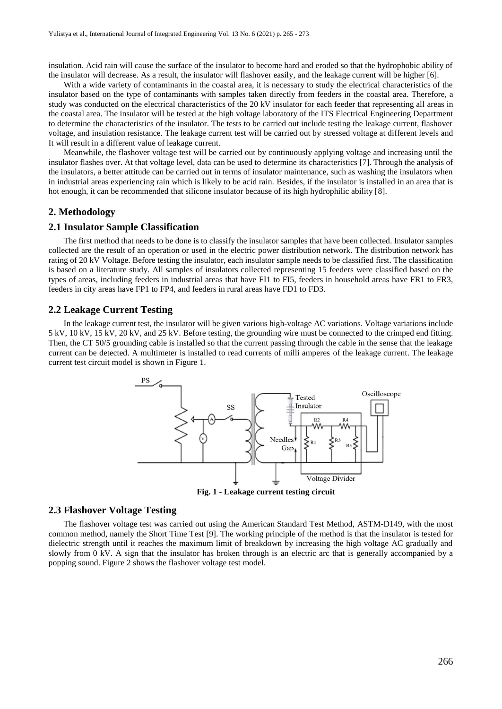insulation. Acid rain will cause the surface of the insulator to become hard and eroded so that the hydrophobic ability of the insulator will decrease. As a result, the insulator will flashover easily, and the leakage current will be higher [6].

With a wide variety of contaminants in the coastal area, it is necessary to study the electrical characteristics of the insulator based on the type of contaminants with samples taken directly from feeders in the coastal area. Therefore, a study was conducted on the electrical characteristics of the 20 kV insulator for each feeder that representing all areas in the coastal area. The insulator will be tested at the high voltage laboratory of the ITS Electrical Engineering Department to determine the characteristics of the insulator. The tests to be carried out include testing the leakage current, flashover voltage, and insulation resistance. The leakage current test will be carried out by stressed voltage at different levels and It will result in a different value of leakage current.

Meanwhile, the flashover voltage test will be carried out by continuously applying voltage and increasing until the insulator flashes over. At that voltage level, data can be used to determine its characteristics [7]. Through the analysis of the insulators, a better attitude can be carried out in terms of insulator maintenance, such as washing the insulators when in industrial areas experiencing rain which is likely to be acid rain. Besides, if the insulator is installed in an area that is hot enough, it can be recommended that silicone insulator because of its high hydrophilic ability [8].

#### **2. Methodology**

#### **2.1 Insulator Sample Classification**

The first method that needs to be done is to classify the insulator samples that have been collected. Insulator samples collected are the result of an operation or used in the electric power distribution network. The distribution network has rating of 20 kV Voltage. Before testing the insulator, each insulator sample needs to be classified first. The classification is based on a literature study. All samples of insulators collected representing 15 feeders were classified based on the types of areas, including feeders in industrial areas that have FI1 to FI5, feeders in household areas have FR1 to FR3, feeders in city areas have FP1 to FP4, and feeders in rural areas have FD1 to FD3.

#### **2.2 Leakage Current Testing**

In the leakage current test, the insulator will be given various high-voltage AC variations. Voltage variations include 5 kV, 10 kV, 15 kV, 20 kV, and 25 kV. Before testing, the grounding wire must be connected to the crimped end fitting. Then, the CT 50/5 grounding cable is installed so that the current passing through the cable in the sense that the leakage current can be detected. A multimeter is installed to read currents of milli amperes of the leakage current. The leakage current test circuit model is shown in Figure 1.



**Fig. 1 - Leakage current testing circuit**

#### **2.3 Flashover Voltage Testing**

The flashover voltage test was carried out using the American Standard Test Method, ASTM-D149, with the most common method, namely the Short Time Test [9]. The working principle of the method is that the insulator is tested for dielectric strength until it reaches the maximum limit of breakdown by increasing the high voltage AC gradually and slowly from 0 kV. A sign that the insulator has broken through is an electric arc that is generally accompanied by a popping sound. Figure 2 shows the flashover voltage test model.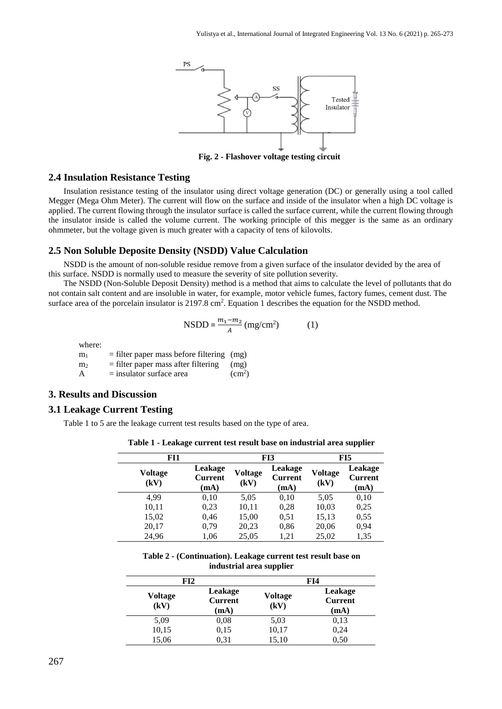

**Fig. 2 - Flashover voltage testing circuit**

#### **2.4 Insulation Resistance Testing**

Insulation resistance testing of the insulator using direct voltage generation (DC) or generally using a tool called Megger (Mega Ohm Meter). The current will flow on the surface and inside of the insulator when a high DC voltage is applied. The current flowing through the insulator surface is called the surface current, while the current flowing through the insulator inside is called the volume current. The working principle of this megger is the same as an ordinary ohmmeter, but the voltage given is much greater with a capacity of tens of kilovolts.

#### **2.5 Non Soluble Deposite Density (NSDD) Value Calculation**

NSDD is the amount of non-soluble residue remove from a given surface of the insulator devided by the area of this surface. NSDD is normally used to measure the severity of site pollution severity.

The NSDD (Non-Soluble Deposit Density) method is a method that aims to calculate the level of pollutants that do not contain salt content and are insoluble in water, for example, motor vehicle fumes, factory fumes, cement dust. The surface area of the porcelain insulator is 2197.8 cm<sup>2</sup>. Equation 1 describes the equation for the NSDD method.

$$
NSDD = \frac{m_1 - m_2}{A} \left( \frac{mg}{cm^2} \right) \tag{1}
$$

where:

 $m_1$  = filter paper mass before filtering (mg)  $m_2$  = filter paper mass after filtering (mg)  $A =$  insulator surface area  $(cm<sup>2</sup>)$ 

#### **3. Results and Discussion**

#### **3.1 Leakage Current Testing**

Table 1 to 5 are the leakage current test results based on the type of area.

**Table 1 - Leakage current test result base on industrial area supplier**

| FI1                    |                                   |                        | FI3                               | FI5                    |                                   |
|------------------------|-----------------------------------|------------------------|-----------------------------------|------------------------|-----------------------------------|
| <b>Voltage</b><br>(kV) | Leakage<br><b>Current</b><br>(mA) | <b>Voltage</b><br>(kV) | Leakage<br><b>Current</b><br>(mA) | <b>Voltage</b><br>(kV) | Leakage<br><b>Current</b><br>(mA) |
| 4,99                   | 0,10                              | 5,05                   | 0,10                              | 5,05                   | 0,10                              |
| 10,11                  | 0,23                              | 10,11                  | 0,28                              | 10,03                  | 0,25                              |
| 15,02                  | 0,46                              | 15,00                  | 0.51                              | 15,13                  | 0,55                              |
| 20,17                  | 0,79                              | 20,23                  | 0,86                              | 20,06                  | 0,94                              |
| 24,96                  | 1,06                              | 25,05                  | 1,21                              | 25,02                  | 1,35                              |

**Table 2 - (Continuation). Leakage current test result base on industrial area supplier**

| FI2             |                                   |                        | FI4                               |
|-----------------|-----------------------------------|------------------------|-----------------------------------|
| Voltage<br>(kV) | Leakage<br><b>Current</b><br>(mA) | <b>Voltage</b><br>(kV) | Leakage<br><b>Current</b><br>(mA) |
| 5,09            | 0,08                              | 5,03                   | 0,13                              |
| 10,15           | 0,15                              | 10,17                  | 0,24                              |
| 15,06           | 0.31                              | 15,10                  | 0,50                              |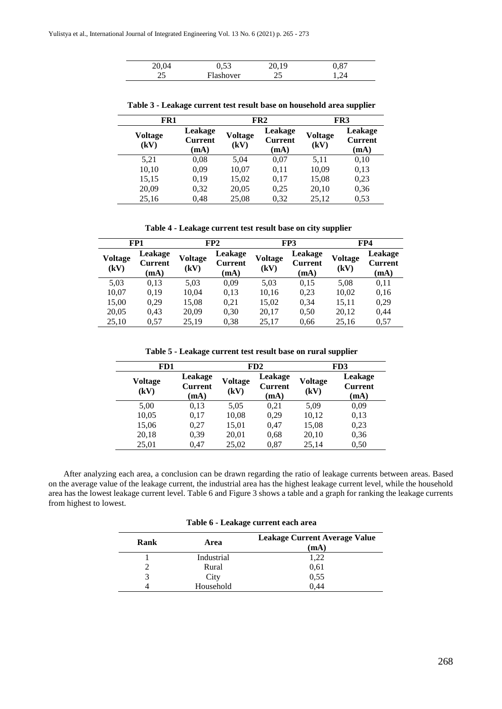| 1.53      | 20 T.Q<br>. | $0.87\,$ |  |
|-----------|-------------|----------|--|
| Flashover | --          |          |  |

| . | ver<br><b>THOTTO</b> LAT | . .<br> |  |
|---|--------------------------|---------|--|
|   |                          |         |  |

**FR1 FR2 FR3 Voltage (kV) Leakage Current (mA) Voltage (kV) Leakage Current (mA) Voltage (kV) Leakage Current (mA)** 5,21 0,08 5,04 0,07 5,11 0,10 10,10 0,09 10,07 0,11 10,09 0,13 15,15 0,19 15,02 0,17 15,08 0,23 20,09 0,32 20,05 0,25 20,10 0,36 25,16 0,48 25,08 0,32 25,12 0,53

**Table 3 - Leakage current test result base on household area supplier**

**Table 4 - Leakage current test result base on city supplier**

|                        | FP1                               | FP2                    |                                   | FP3                    |                                   | FP4                    |                                   |
|------------------------|-----------------------------------|------------------------|-----------------------------------|------------------------|-----------------------------------|------------------------|-----------------------------------|
| <b>Voltage</b><br>(kV) | Leakage<br><b>Current</b><br>(mA) | <b>Voltage</b><br>(kV) | Leakage<br><b>Current</b><br>(mA) | <b>Voltage</b><br>(kV) | Leakage<br><b>Current</b><br>(mA) | <b>Voltage</b><br>(kV) | Leakage<br><b>Current</b><br>(mA) |
| 5,03                   | 0,13                              | 5.03                   | 0,09                              | 5,03                   | 0.15                              | 5,08                   | 0,11                              |
| 10,07                  | 0.19                              | 10,04                  | 0.13                              | 10,16                  | 0,23                              | 10,02                  | 0.16                              |
| 15,00                  | 0.29                              | 15,08                  | 0,21                              | 15,02                  | 0,34                              | 15,11                  | 0,29                              |
| 20,05                  | 0.43                              | 20,09                  | 0,30                              | 20,17                  | 0,50                              | 20,12                  | 0,44                              |
| 25,10                  | 0.57                              | 25,19                  | 0,38                              | 25,17                  | 0.66                              | 25,16                  | 0,57                              |

**Table 5 - Leakage current test result base on rural supplier**

| FD1                    |                                   |                        | FD2                               |                        | FD <sub>3</sub>                   |
|------------------------|-----------------------------------|------------------------|-----------------------------------|------------------------|-----------------------------------|
| <b>Voltage</b><br>(kV) | Leakage<br><b>Current</b><br>(mA) | <b>Voltage</b><br>(kV) | Leakage<br><b>Current</b><br>(mA) | <b>Voltage</b><br>(kV) | Leakage<br><b>Current</b><br>(mA) |
| 5,00                   | 0,13                              | 5,05                   | 0,21                              | 5,09                   | 0,09                              |
| 10,05                  | 0,17                              | 10,08                  | 0,29                              | 10,12                  | 0,13                              |
| 15,06                  | 0,27                              | 15,01                  | 0,47                              | 15,08                  | 0,23                              |
| 20,18                  | 0,39                              | 20,01                  | 0.68                              | 20,10                  | 0,36                              |
| 25,01                  | 0,47                              | 25,02                  | 0,87                              | 25,14                  | 0,50                              |

After analyzing each area, a conclusion can be drawn regarding the ratio of leakage currents between areas. Based on the average value of the leakage current, the industrial area has the highest leakage current level, while the household area has the lowest leakage current level. Table 6 and Figure 3 shows a table and a graph for ranking the leakage currents from highest to lowest.

**Table 6 - Leakage current each area**

| Rank | Area       | Leakage Current Average Value<br>(mA) |
|------|------------|---------------------------------------|
|      | Industrial | 1,22                                  |
|      | Rural      | 0,61                                  |
| 3    | City       | 0,55                                  |
|      | Household  | 0.44                                  |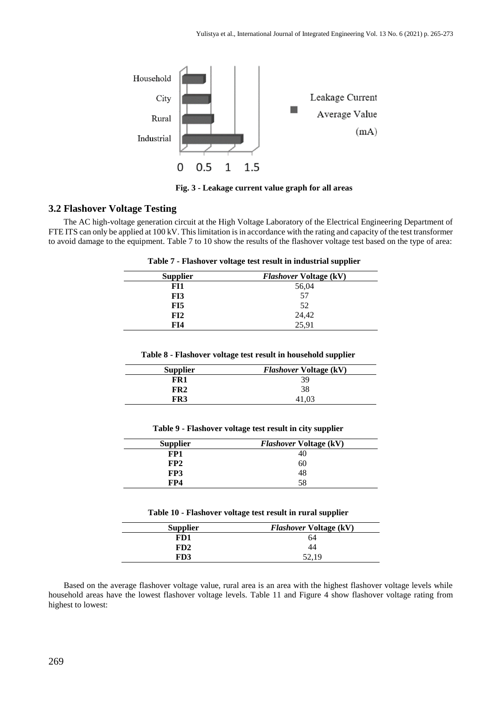

**Fig. 3 - Leakage current value graph for all areas**

# **3.2 Flashover Voltage Testing**

The AC high-voltage generation circuit at the High Voltage Laboratory of the Electrical Engineering Department of FTE ITS can only be applied at 100 kV. This limitation is in accordance with the rating and capacity of the test transformer to avoid damage to the equipment. Table 7 to 10 show the results of the flashover voltage test based on the type of area:

| <b>Supplier</b> | <b>Flashover Voltage (kV)</b> |
|-----------------|-------------------------------|
| FI1             | 56,04                         |
| FI3             | 57                            |
| FI5             | 52                            |
| FI2             | 24,42                         |
| FI4             | 25,91                         |

**Table 8 - Flashover voltage test result in household supplier**

| <b>Supplier</b> | <b>Flashover Voltage (kV)</b> |
|-----------------|-------------------------------|
| FR1             | 39                            |
| FR2             | 38                            |
| FR3             | 41.03                         |
|                 |                               |

| <b>Supplier</b> | <b>Flashover Voltage (kV)</b> |
|-----------------|-------------------------------|
| FP1             | 40                            |
| FP2             | 60                            |
| FP3             | 48                            |
| FP4             | 58                            |

| Table 10 - Flashover voltage test result in rural supplier |  |  |  |  |
|------------------------------------------------------------|--|--|--|--|
|------------------------------------------------------------|--|--|--|--|

| <b>Supplier</b> | <b>Flashover Voltage (kV)</b> |
|-----------------|-------------------------------|
| FD1             | 64                            |
| FD2             | 44                            |
| FD3             |                               |

Based on the average flashover voltage value, rural area is an area with the highest flashover voltage levels while household areas have the lowest flashover voltage levels. Table 11 and Figure 4 show flashover voltage rating from highest to lowest: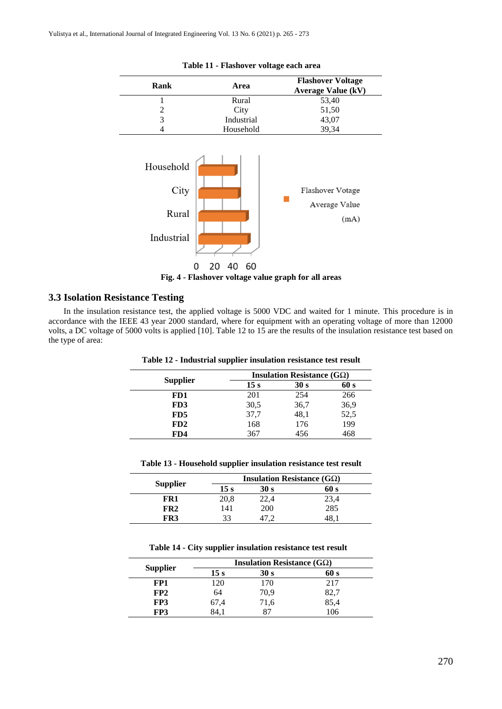| Rank                                     | Area                | <b>Flashover Voltage</b><br><b>Average Value (kV)</b> |
|------------------------------------------|---------------------|-------------------------------------------------------|
| 1                                        | Rural               | 53,40                                                 |
| $\overline{c}$                           | City                | 51,50                                                 |
| $\overline{3}$                           | Industrial          | 43,07                                                 |
| 4                                        | Household           | 39,34                                                 |
| Household<br>City<br>Rural<br>Industrial | 60<br>20<br>40<br>U | Flashover Votage<br>Average Value<br>(mA)             |

|  |  |  |  | Table 11 - Flashover voltage each area |  |  |  |
|--|--|--|--|----------------------------------------|--|--|--|
|--|--|--|--|----------------------------------------|--|--|--|

**Fig. 4 - Flashover voltage value graph for all areas**

#### **3.3 Isolation Resistance Testing**

In the insulation resistance test, the applied voltage is 5000 VDC and waited for 1 minute. This procedure is in accordance with the IEEE 43 year 2000 standard, where for equipment with an operating voltage of more than 12000 volts, a DC voltage of 5000 volts is applied [10]. Table 12 to 15 are the results of the insulation resistance test based on the type of area:

|                 | <b>Insulation Resistance (GQ)</b> |      |      |  |
|-----------------|-----------------------------------|------|------|--|
| <b>Supplier</b> | 15 s                              | 30 s | 60 s |  |
| FD1             | 201                               | 254  | 266  |  |
| FD3             | 30,5                              | 36,7 | 36,9 |  |
| F <sub>D5</sub> | 37,7                              | 48,1 | 52,5 |  |
| FD2             | 168                               | 176  | 199  |  |
| FD4             | 367                               | 456  | 468  |  |

**Table 12 - Industrial supplier insulation resistance test result**

|  | Table 13 - Household supplier insulation resistance test result |  |  |  |  |  |
|--|-----------------------------------------------------------------|--|--|--|--|--|
|--|-----------------------------------------------------------------|--|--|--|--|--|

|                 | <b>Insulation Resistance (GQ)</b> |            |      |  |
|-----------------|-----------------------------------|------------|------|--|
| <b>Supplier</b> | 15 s                              | 30 s       | 60 s |  |
| FR1             | 20,8                              | 22.4       | 23.4 |  |
| FR <sub>2</sub> | 141                               | <b>200</b> | 285  |  |
| FR3             | 33                                |            |      |  |

**Table 14 - City supplier insulation resistance test result**

|                 | <b>Insulation Resistance (GQ)</b> |      |      |  |  |
|-----------------|-----------------------------------|------|------|--|--|
| <b>Supplier</b> | 15 s                              | 30 s | 60 s |  |  |
| FP1             | 120                               | 170  | 217  |  |  |
| FP2             | 64                                | 70.9 | 82,7 |  |  |
| FP3             | 67,4                              | 71,6 | 85,4 |  |  |
| FP3             | 84.                               |      | 106  |  |  |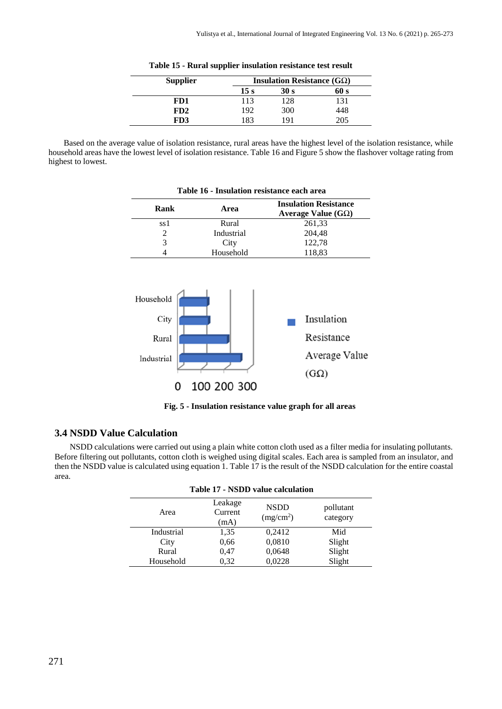| <b>Supplier</b> |      | Insulation Resistance $(G\Omega)$ |      |
|-----------------|------|-----------------------------------|------|
|                 | 15 s | 30 s                              | 60 s |
| FD1             | 113  | 128                               | 131  |
| FD2             | 192  | 300                               | 448  |
| FD3             | 183  | 191                               | 205. |

**Table 15 - Rural supplier insulation resistance test result**

Based on the average value of isolation resistance, rural areas have the highest level of the isolation resistance, while household areas have the lowest level of isolation resistance. Table 16 and Figure 5 show the flashover voltage rating from highest to lowest.

| Rank                        | Area       | <b>Insulation Resistance</b><br>Average Value $(G\Omega)$ |
|-----------------------------|------------|-----------------------------------------------------------|
| ss 1                        | Rural      | 261,33                                                    |
| $\mathcal{D}_{\mathcal{L}}$ | Industrial | 204,48                                                    |
| 3                           | City       | 122,78                                                    |
|                             | Household  | 118,83                                                    |



**Fig. 5 - Insulation resistance value graph for all areas**

# **3.4 NSDD Value Calculation**

NSDD calculations were carried out using a plain white cotton cloth used as a filter media for insulating pollutants. Before filtering out pollutants, cotton cloth is weighed using digital scales. Each area is sampled from an insulator, and then the NSDD value is calculated using equation 1. Table 17 is the result of the NSDD calculation for the entire coastal area.

| Table 17 - NSDD value calculation |                            |                                      |                       |  |
|-----------------------------------|----------------------------|--------------------------------------|-----------------------|--|
| Area                              | Leakage<br>Current<br>(mA) | <b>NSDD</b><br>(mg/cm <sup>2</sup> ) | pollutant<br>category |  |
| Industrial                        | 1,35                       | 0,2412                               | Mid                   |  |
| City                              | 0,66                       | 0,0810                               | Slight                |  |
| Rural                             | 0,47                       | 0,0648                               | Slight                |  |
| Household                         | 0,32                       | 0,0228                               | Slight                |  |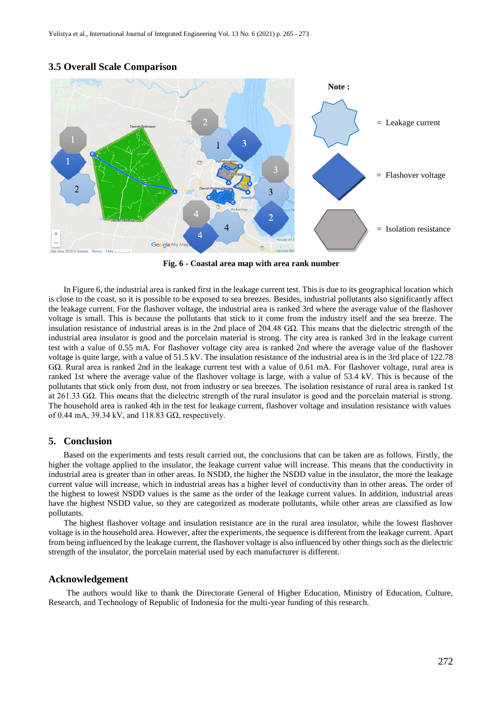

#### **3.5 Overall Scale Comparison**

**Fig. 6 - Coastal area map with area rank number**

In Figure 6, the industrial area is ranked first in the leakage current test. This is due to its geographical location which is close to the coast, so it is possible to be exposed to sea breezes. Besides, industrial pollutants also significantly affect the leakage current. For the flashover voltage, the industrial area is ranked 3rd where the average value of the flashover voltage is small. This is because the pollutants that stick to it come from the industry itself and the sea breeze. The insulation resistance of industrial areas is in the 2nd place of 204.48  $G\Omega$ . This means that the dielectric strength of the industrial area insulator is good and the porcelain material is strong. The city area is ranked 3rd in the leakage current test with a value of 0.55 mA. For flashover voltage city area is ranked 2nd where the average value of the flashover voltage is quite large, with a value of 51.5 kV. The insulation resistance of the industrial area is in the 3rd place of 122.78 GΩ. Rural area is ranked 2nd in the leakage current test with a value of 0.61 mA. For flashover voltage, rural area is ranked 1st where the average value of the flashover voltage is large, with a value of 53.4 kV. This is because of the pollutants that stick only from dust, not from industry or sea breezes. The isolation resistance of rural area is ranked 1st at 261.33 GΩ. This means that the dielectric strength of the rural insulator is good and the porcelain material is strong. The household area is ranked 4th in the test for leakage current, flashover voltage and insulation resistance with values of 0.44 mA, 39.34 kV, and 118.83  $G\Omega$ , respectively.

#### **5. Conclusion**

Based on the experiments and tests result carried out, the conclusions that can be taken are as follows. Firstly, the higher the voltage applied to the insulator, the leakage current value will increase. This means that the conductivity in industrial area is greater than in other areas. In NSDD, the higher the NSDD value in the insulator, the more the leakage current value will increase, which in industrial areas has a higher level of conductivity than in other areas. The order of the highest to lowest NSDD values is the same as the order of the leakage current values. In addition, industrial areas have the highest NSDD value, so they are categorized as moderate pollutants, while other areas are classified as low pollutants.

The highest flashover voltage and insulation resistance are in the rural area insulator, while the lowest flashover voltage is in the household area. However, after the experiments, the sequence is different from the leakage current. Apart from being influenced by the leakage current, the flashover voltage is also influenced by other things such as the dielectric strength of the insulator, the porcelain material used by each manufacturer is different.

#### **Acknowledgement**

The authors would like to thank the Directorate General of Higher Education, Ministry of Education, Culture, Research, and Technology of Republic of Indonesia for the multi-year funding of this research.